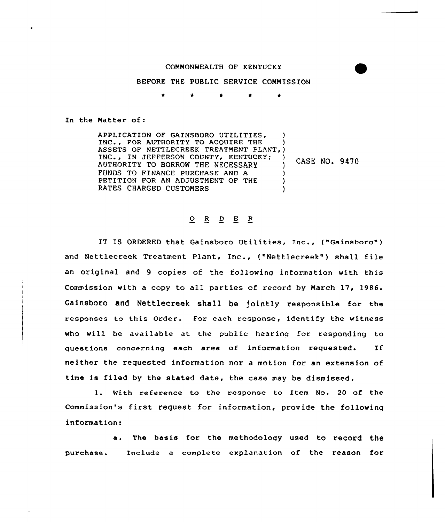## COMMONWEALTH OF KENTUCKY

## BEFORE THE PUBLIC SERVICE COMMISSION

In the Matter of:

APPLICATION OF GAINSBORO UTILITIES, INC., FOR AUTHORITY TO ACQUIRE THE ASSETS OF NETTLECREEK TREATMENT PLANT, ) INC., IN JEFFERSON COUNTY, KENTUCKY; )<br>AUTHORITY TO BORROW THE NECESSARY ) AUTHORITY TO BORROW THE NECESSARY FUNDS TO FINANCE PURCHASE AND A PETITION FOR AN ADJUSTMENT OF THE RATES CHARGED CUSTOMERS (1999) CASE NO. 9470

## O R D E R

IT IS ORDERED that Gainsboro Utilities, Inc., ("Gainsboro" ) and Nettlecreek Treatment Plant, Inc., f"Nettlecreek") shall file an original and 9 copies of the following information with this Commission with <sup>a</sup> copy to all parties of record by March 17, 1986. Gainsboro and Nettlecreek shall be )ointly responsible for the responses to this Order. For each response, identify the vitness vho will be available at the public hearinq for responding to questions concerning each area of information requested. If neither the requested information nor a motion for an extension of time is filed by the stated date, the case may be dismissed.

1. With reference to the response to Item No. <sup>20</sup> of the Commission's first request for information, provide the following information:

purchase. a. The basis for the methodology used to record the Include a complete explanation of the reason for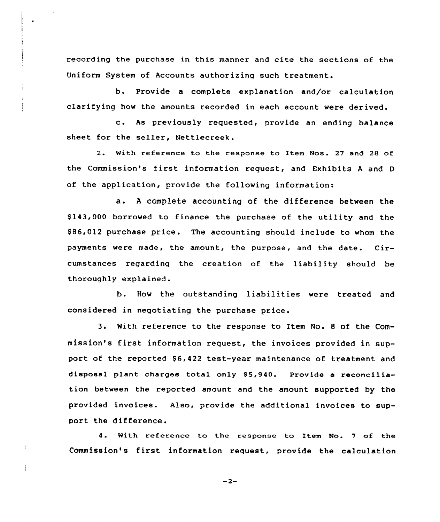recording the purchase in this manner and cite the sections of the Uniform System of Accounts authorizing such treatment.

b. Provide a complete explanation and/or calculation clarifying how the amounts recorded in each account were derived.

c. As previously requested, provide an ending balance sheet for the seller, Nett1ecreek.

2. With reference to the response to Item Nos. 27 and 28 of the Commission's first information request, and Exhibits <sup>A</sup> and <sup>D</sup> of the application, provide the following information:

a. <sup>A</sup> complete accounting of the difference between the \$ 143,000 borrowed to finance the purchase of the utility and the \$ 86,012 purchase price. The accounting should include to whom the payments were made, the amount, the purpose, and the date. Circumstances regarding the creation of the liability should be thoroughly explained.

b. How the outstanding liabilities were treated and considered in negotiatinq the purchase price.

3. With reference to the response to Item No. <sup>8</sup> of the Commission's first information request, the invoices provided in support of the reported \$6,422 test-year maintenance of treatment and disposal plant charges total only \$5,940. Provide a reconciliation between the reported amount and the amount supported by the provided invoices. Also, provide the additional invoices to support the difference.

4. With reference to the response to Item No. <sup>7</sup> of the Commission's first information request, provide the calculation

 $-2-$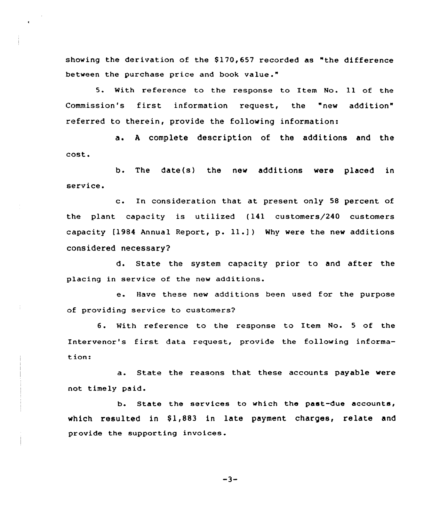showing the derivation of the \$170,657 recorded as "the difference between the purchase price and book value."

5. With reference to the response to Item No. 11 of the Commission's first information request, the "new addition" referred to therein, provide the following information:

a. <sup>A</sup> complete description of the additions and the cost.

b. The date(s) the new additions were placed in service.

c. In consideration that at present only <sup>58</sup> percent of the plant capacity is utilized {141 customers/240 customers capacity [1984 Annual Report, p. 11.]) Why were the new additions considered necessary?

d. State the system capacity prior to and after the placing in service of the new additions.

e. Have these new additions been used for the purpose of providing service to customers?

6. With reference to the response to Item No. <sup>5</sup> of the Intervenor's first data request, provide the following information:

a. State the reasons that these accounts payable were not timely paid.

b. State the services to which the past-due accounts, which resulted in  $$1,883$  in late payment charges, relate and provide the supporting invoices.

 $-3-$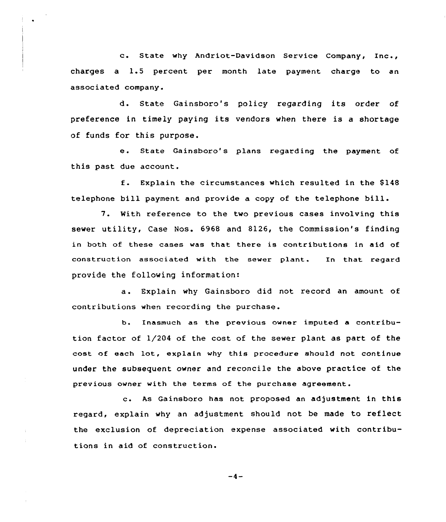c. State why Andriot-Davidson Service Company, Inc., charges <sup>a</sup> 1.5 percent per month late payment charge to an associated company.

d. State Gainsboro's policy regarding its order of preference in timely paying its vendors when there is <sup>a</sup> shortage of funds for this purpose.

e. State Gainsboro's plans regarding the payment of this past due account.

f. Explain the circumstances which resulted in the \$ <sup>148</sup> telephone bill payment and provide <sup>a</sup> copy of the telephone bill.

7. With reference to the two previous cases involving this sewer utility, Case Nos. 6968 and 8126, the Commission's finding in both of these cases was that there is contributions in aid of construction associated with the sewer plant. In that regard provide the following information:

a. Explain why Gainsboro did not record an amount of contributions when recording the purchase.

b. Inasmuch as the previous owner imputed a contribution factor of 1/204 of the cost of the sewer plant as part of the cost of each lot, explain why this procedure should not continue under the subsequent owner and reconcile the above practice of the previous owner with the terms of the purchase agreement.

c. As Gainsboro has not proposed an adjustment in this regard, explain why an adjustment should not be made to reflect the exclusion of depreciation expense associated with contributions in aid of construction.

 $-4-$